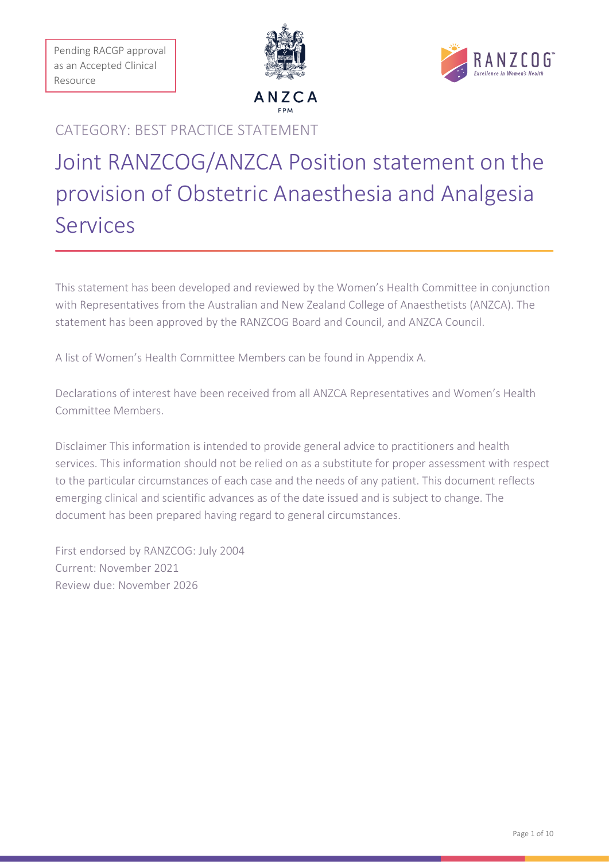Pending RACGP approval as an Accepted Clinical Resource





### CATEGORY: BEST PRACTICE STATEMENT

# Joint RANZCOG/ANZCA Position statement on the provision of Obstetric Anaesthesia and Analgesia Services

This statement has been developed and reviewed by the Women's Health Committee in conjunction with Representatives from the Australian and New Zealand College of Anaesthetists (ANZCA). The statement has been approved by the RANZCOG Board and Council, and ANZCA Council.

A list of Women's Health Committee Members can be found in Appendix A.

Declarations of interest have been received from all ANZCA Representatives and Women's Health Committee Members.

Disclaimer This information is intended to provide general advice to practitioners and health services. This information should not be relied on as a substitute for proper assessment with respect to the particular circumstances of each case and the needs of any patient. This document reflects emerging clinical and scientific advances as of the date issued and is subject to change. The document has been prepared having regard to general circumstances.

First endorsed by RANZCOG: July 2004 Current: November 2021 Review due: November 2026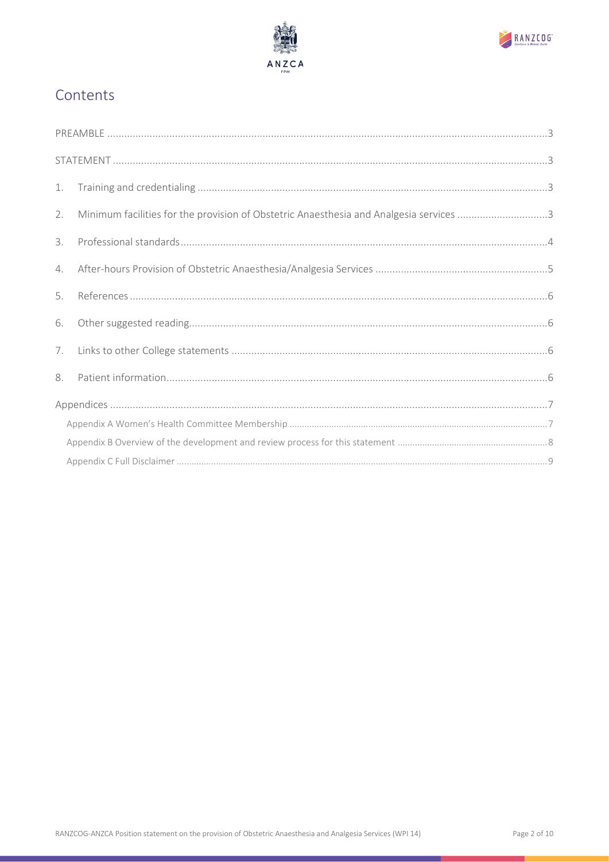



## Contents

| 1. |                                                                                        |  |
|----|----------------------------------------------------------------------------------------|--|
| 2. | Minimum facilities for the provision of Obstetric Anaesthesia and Analgesia services 3 |  |
| 3. |                                                                                        |  |
| 4. |                                                                                        |  |
| 5. |                                                                                        |  |
| 6. |                                                                                        |  |
| 7. |                                                                                        |  |
| 8. |                                                                                        |  |
|    |                                                                                        |  |
|    |                                                                                        |  |
|    |                                                                                        |  |
|    |                                                                                        |  |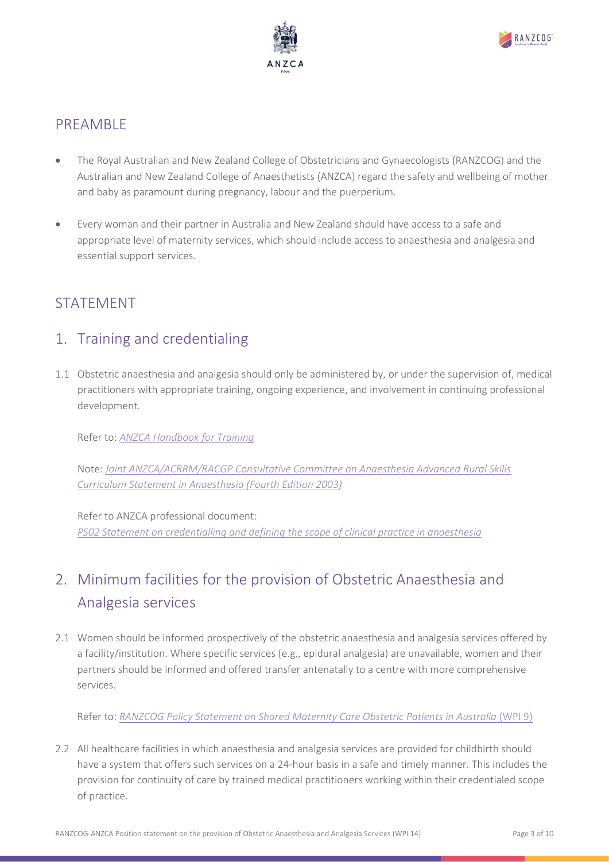



### <span id="page-2-0"></span>PREAMBLE

- The Royal Australian and New Zealand College of Obstetricians and Gynaecologists (RANZCOG) and the Australian and New Zealand College of Anaesthetists (ANZCA) regard the safety and wellbeing of mother and baby as paramount during pregnancy, labour and the puerperium.
- Every woman and their partner in Australia and New Zealand should have access to a safe and appropriate level of maternity services, which should include access to anaesthesia and analgesia and essential support services.

## <span id="page-2-1"></span>STATEMENT

### <span id="page-2-2"></span>1. Training and credentialing

1.1 Obstetric anaesthesia and analgesia should only be administered by, or under the supervision of, medical practitioners with appropriate training, ongoing experience, and involvement in continuing professional development.

Refer to: *[ANZCA Handbook for Training](https://www.anzca.edu.au/resources/all-handbooks-and-curriculums/anzca-training-handbook)*

Note: *[Joint ANZCA/ACRRM/RACGP Consultative Committee on Anaesthesia Advanced Rural Skills](https://www.racgp.org.au/download/documents/JCC/2011anaesthesiacurricstatement.pdf)  [Curriculum Statement in Anaesthesia \(Fourth Edition 2003\)](https://www.racgp.org.au/download/documents/JCC/2011anaesthesiacurricstatement.pdf)*

Refer to ANZCA professional document: *[PS02 Statement on credentialling and defining the scope of clinical practice in anaesthesia](https://www.anzca.edu.au/getattachment/93a9e675-8e55-4bbe-a274-3197108173e0/PS02-Statement-on-credentialling-and-defining-the-scope-of-clinical-practice-in-anaesthesia)*

# <span id="page-2-3"></span>2. Minimum facilities for the provision of Obstetric Anaesthesia and Analgesia services

2.1 Women should be informed prospectively of the obstetric anaesthesia and analgesia services offered by a facility/institution. Where specific services (e.g., epidural analgesia) are unavailable, women and their partners should be informed and offered transfer antenatally to a centre with more comprehensive services.

Refer to: *[RANZCOG Policy Statement on Shared Maternity Care Obstetric Patients in Australia](https://ranzcog.edu.au/RANZCOG_SITE/media/RANZCOG-MEDIA/Women%27s%20Health/Statement%20and%20guidelines/Workforce%20and%20Practice%20Issues/Shared-Maternity-Care-in-Australia-(WPI-9)-March-2021.pdf?ext=.pdf)* (WPI 9)

2.2 All healthcare facilities in which anaesthesia and analgesia services are provided for childbirth should have a system that offers such services on a 24-hour basis in a safe and timely manner. This includes the provision for continuity of care by trained medical practitioners working within their credentialed scope of practice.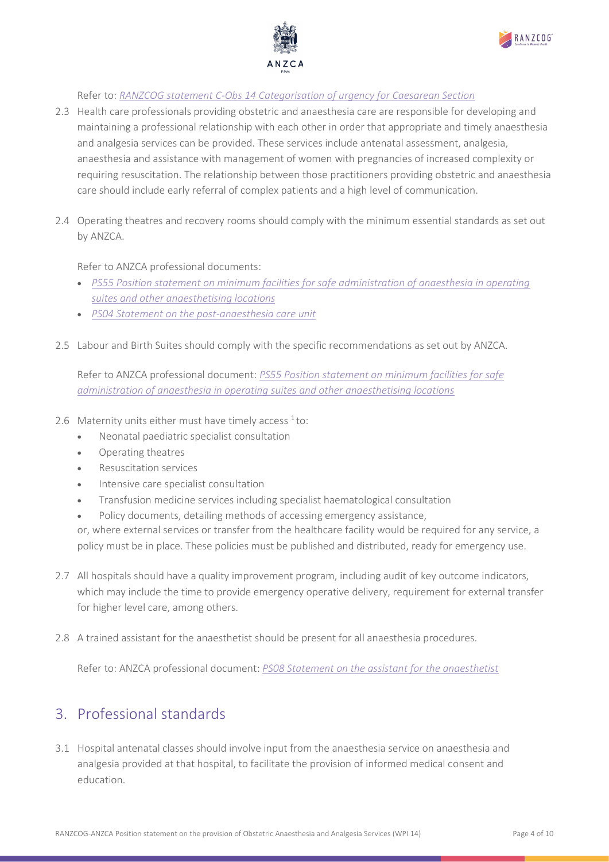



Refer to: *[RANZCOG statement C-Obs 14 Categorisation of urgency for Caesarean Section](https://ranzcog.edu.au/RANZCOG_SITE/media/RANZCOG-MEDIA/Women%27s%20Health/Statement%20and%20guidelines/Clinical-Obstetrics/Categorisation-of-urgency-for-caesarean-section-(C-Obs-14).pdf?ext=.pdf%20)*

- 2.3 Health care professionals providing obstetric and anaesthesia care are responsible for developing and maintaining a professional relationship with each other in order that appropriate and timely anaesthesia and analgesia services can be provided. These services include antenatal assessment, analgesia, anaesthesia and assistance with management of women with pregnancies of increased complexity or requiring resuscitation. The relationship between those practitioners providing obstetric and anaesthesia care should include early referral of complex patients and a high level of communication.
- 2.4 Operating theatres and recovery rooms should comply with the minimum essential standards as set out by ANZCA.

Refer to ANZCA professional documents:

- *[PS55 Position statement on minimum facilities for safe administration of anaesthesia in operating](https://www.anzca.edu.au/getattachment/7ee1b267-8c29-414e-86c2-6d0e50933d43/PS55-Position-statement-on-minimum-facilities-for-safe-administration-of-anaesthesia-in-operating-suites-and-other-anaesthetising-locations-PILOT)  [suites and other anaesthetising locations](https://www.anzca.edu.au/getattachment/7ee1b267-8c29-414e-86c2-6d0e50933d43/PS55-Position-statement-on-minimum-facilities-for-safe-administration-of-anaesthesia-in-operating-suites-and-other-anaesthetising-locations-PILOT)*
- *[PS04 Statement on the post-anaesthesia care unit](https://www.anzca.edu.au/getattachment/7045495a-0f12-4464-852c-b93c0453e1ed/PS04-Statement-on-the-post-anaesthesia-care-unit)*
- 2.5 Labour and Birth Suites should comply with the specific recommendations as set out by ANZCA.

Refer to ANZCA professional document: *[PS55 Position statement on minimum facilities for safe](https://www.anzca.edu.au/getattachment/7ee1b267-8c29-414e-86c2-6d0e50933d43/PS55-Position-statement-on-minimum-facilities-for-safe-administration-of-anaesthesia-in-operating-suites-and-other-anaesthetising-locations-PILOT)  [administration of anaesthesia in operating suites and other anaesthetising locations](https://www.anzca.edu.au/getattachment/7ee1b267-8c29-414e-86c2-6d0e50933d43/PS55-Position-statement-on-minimum-facilities-for-safe-administration-of-anaesthesia-in-operating-suites-and-other-anaesthetising-locations-PILOT)*

- 2.6 Maternity units either must have timely access  $1$  to:
	- Neonatal paediatric specialist consultation
	- Operating theatres
	- Resuscitation services
	- Intensive care specialist consultation
	- Transfusion medicine services including specialist haematological consultation
	- Policy documents, detailing methods of accessing emergency assistance,

or, where external services or transfer from the healthcare facility would be required for any service, a policy must be in place. These policies must be published and distributed, ready for emergency use.

- 2.7 All hospitals should have a quality improvement program, including audit of key outcome indicators, which may include the time to provide emergency operative delivery, requirement for external transfer for higher level care, among others.
- 2.8 A trained assistant for the anaesthetist should be present for all anaesthesia procedures.

Refer to: ANZCA professional document: *[PS08 Statement on the assistant for the anaesthetist](https://www.anzca.edu.au/getattachment/473f7e0d-b14a-4939-aad1-034c0474c603/PS08-Statement-on-the-assistant-for-the-anaesthetist)*

### <span id="page-3-0"></span>3. Professional standards

3.1 Hospital antenatal classes should involve input from the anaesthesia service on anaesthesia and analgesia provided at that hospital, to facilitate the provision of informed medical consent and education.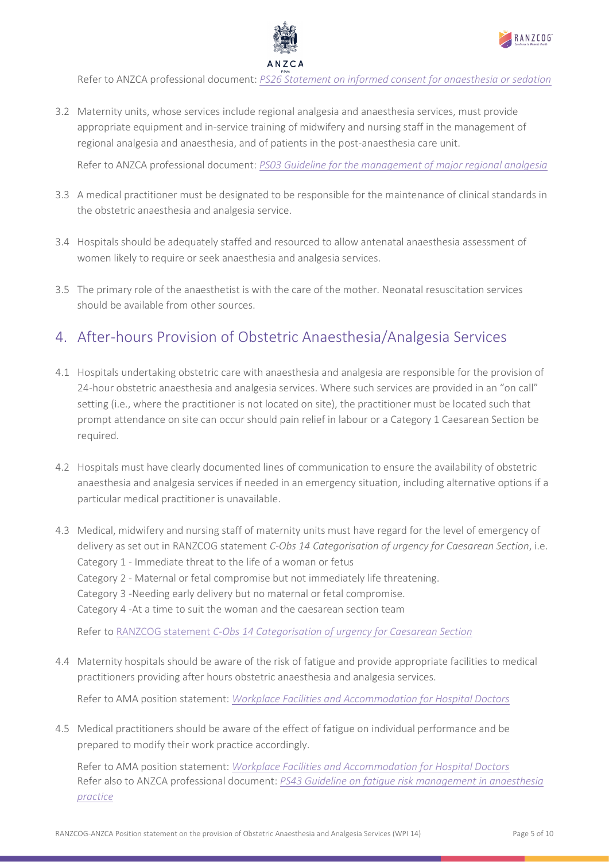



Refer to ANZCA professional document: *[PS26 Statement on informed consent for anaesthesia or sedation](https://www.anzca.edu.au/getattachment/d11e9c7e-0825-458a-af47-7a21ddb588a7/PS26-Statement-on-informed-consent-for-anaesthesia-or-sedation#page)*

3.2 Maternity units, whose services include regional analgesia and anaesthesia services, must provide appropriate equipment and in-service training of midwifery and nursing staff in the management of regional analgesia and anaesthesia, and of patients in the post-anaesthesia care unit.

Refer to ANZCA professional document: *[PS03 Guideline for the management of](https://www.anzca.edu.au/getattachment/159a8905-b558-480b-82d7-79a653ff83a0/PS03-Guideline-for-the-management-of-major-regional-analgesia) major regional analgesia*

- 3.3 A medical practitioner must be designated to be responsible for the maintenance of clinical standards in the obstetric anaesthesia and analgesia service.
- 3.4 Hospitals should be adequately staffed and resourced to allow antenatal anaesthesia assessment of women likely to require or seek anaesthesia and analgesia services.
- 3.5 The primary role of the anaesthetist is with the care of the mother. Neonatal resuscitation services should be available from other sources.

# <span id="page-4-0"></span>4. After-hours Provision of Obstetric Anaesthesia/Analgesia Services

- 4.1 Hospitals undertaking obstetric care with anaesthesia and analgesia are responsible for the provision of 24-hour obstetric anaesthesia and analgesia services. Where such services are provided in an "on call" setting (i.e., where the practitioner is not located on site), the practitioner must be located such that prompt attendance on site can occur should pain relief in labour or a Category 1 Caesarean Section be required.
- 4.2 Hospitals must have clearly documented lines of communication to ensure the availability of obstetric anaesthesia and analgesia services if needed in an emergency situation, including alternative options if a particular medical practitioner is unavailable.
- 4.3 Medical, midwifery and nursing staff of maternity units must have regard for the level of emergency of delivery as set out in RANZCOG statement *C-Obs 14 Categorisation of urgency for Caesarean Section*, i.e. Category 1 - Immediate threat to the life of a woman or fetus Category 2 - Maternal or fetal compromise but not immediately life threatening. Category 3 -Needing early delivery but no maternal or fetal compromise. Category 4 -At a time to suit the woman and the caesarean section team

Refer to RANZCOG statement *[C-Obs 14 Categorisation of urgency for Caesarean Section](https://ranzcog.edu.au/RANZCOG_SITE/media/RANZCOG-MEDIA/Women%27s%20Health/Statement%20and%20guidelines/Clinical-Obstetrics/Categorisation-of-urgency-for-caesarean-section-(C-Obs-14).pdf?ext=.pdf%20)*

4.4 Maternity hospitals should be aware of the risk of fatigue and provide appropriate facilities to medical practitioners providing after hours obstetric anaesthesia and analgesia services.

Refer to AMA position statement: *[Workplace Facilities and Accommodation for Hospital Doctors](https://www.ama.com.au/sites/default/files/2021-10/FINAL%20AMA%20PS%20Workplace%20Facilities%20and%20Accommodation%20for%20Hospital%20Doctors%202021.pdf)*

4.5 Medical practitioners should be aware of the effect of fatigue on individual performance and be prepared to modify their work practice accordingly.

Refer to AMA position statement: *[Workplace Facilities and Accommodation for Hospital Doctors](https://www.ama.com.au/sites/default/files/2021-10/FINAL%20AMA%20PS%20Workplace%20Facilities%20and%20Accommodation%20for%20Hospital%20Doctors%202021.pdf)* Refer also to ANZCA professional document: *[PS43 Guideline on fatigue risk management in anaesthesia](https://www.anzca.edu.au/getattachment/b534ace5-3821-4f30-8171-0415c41927da/PS43-Guideline-on-fatigue-risk-management-in-anaesthesia-practice)  [practice](https://www.anzca.edu.au/getattachment/b534ace5-3821-4f30-8171-0415c41927da/PS43-Guideline-on-fatigue-risk-management-in-anaesthesia-practice)*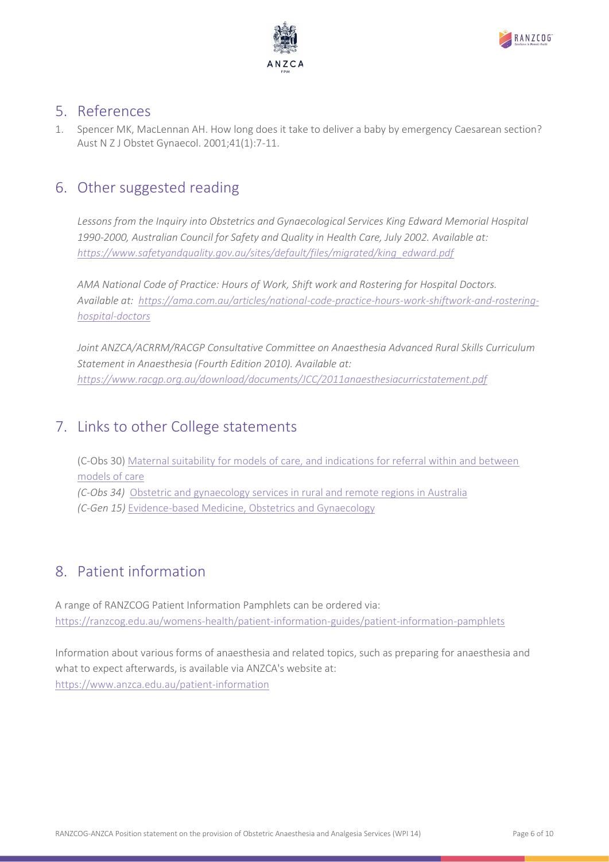



### <span id="page-5-0"></span>5. References

1. Spencer MK, MacLennan AH. How long does it take to deliver a baby by emergency Caesarean section? Aust N Z J Obstet Gynaecol. 2001;41(1):7-11.

### <span id="page-5-1"></span>6. Other suggested reading

*Lessons from the Inquiry into Obstetrics and Gynaecological Services King Edward Memorial Hospital 1990-2000, Australian Council for Safety and Quality in Health Care, July 2002. Available at: [https://www.safetyandquality.gov.au/sites/default/files/migrated/king\\_edward.pdf](https://www.safetyandquality.gov.au/sites/default/files/migrated/king_edward.pdf)*

*AMA National Code of Practice: Hours of Work, Shift work and Rostering for Hospital Doctors. Available at: [https://ama.com.au/articles/national-code-practice-hours-work-shiftwork-and-rostering](https://ama.com.au/articles/national-code-practice-hours-work-shiftwork-and-rostering-hospital-doctors)[hospital-doctors](https://ama.com.au/articles/national-code-practice-hours-work-shiftwork-and-rostering-hospital-doctors)*

*Joint ANZCA/ACRRM/RACGP Consultative Committee on Anaesthesia Advanced Rural Skills Curriculum Statement in Anaesthesia (Fourth Edition 2010). Available at: <https://www.racgp.org.au/download/documents/JCC/2011anaesthesiacurricstatement.pdf>*

## <span id="page-5-2"></span>7. Links to other College statements

(C-Obs 30) [Maternal suitability for models of care, and indications for referral within and between](https://ranzcog.edu.au/RANZCOG_SITE/media/RANZCOG-MEDIA/Women%27s%20Health/Statement%20and%20guidelines/Clinical-Obstetrics/Maternal-suitability-for-models-of-care-(C-Obs-30)-March-18.pdf?ext=.pdf)  [models of care](https://ranzcog.edu.au/RANZCOG_SITE/media/RANZCOG-MEDIA/Women%27s%20Health/Statement%20and%20guidelines/Clinical-Obstetrics/Maternal-suitability-for-models-of-care-(C-Obs-30)-March-18.pdf?ext=.pdf) *(C-Obs 34)* [Obstetric and gynaecology services in rural and remote regions in Australia](https://ranzcog.edu.au/RANZCOG_SITE/media/RANZCOG-MEDIA/Women%27s%20Health/Statement%20and%20guidelines/Clinical-Obstetrics/O-G-services-in-remote-and-rural-communities-in-Australia-(C-Obs-34).pdf?ext=.pdf) *(C-Gen 15)* [Evidence-based Medicine, Obstetrics and Gynaecology](https://ranzcog.edu.au/RANZCOG_SITE/media/RANZCOG-MEDIA/Women%27s%20Health/Statement%20and%20guidelines/Clinical%20-%20General/Evidence-based-medicine,-Obstetrics-and-Gynaecology-(C-Gen-15)-Review-March-2016.pdf?ext=.pdf)

# <span id="page-5-3"></span>8. Patient information

A range of RANZCOG Patient Information Pamphlets can be ordered via: <https://ranzcog.edu.au/womens-health/patient-information-guides/patient-information-pamphlets>

Information about various forms of anaesthesia and related topics, such as preparing for anaesthesia and what to expect afterwards, is available via ANZCA's website at: <https://www.anzca.edu.au/patient-information>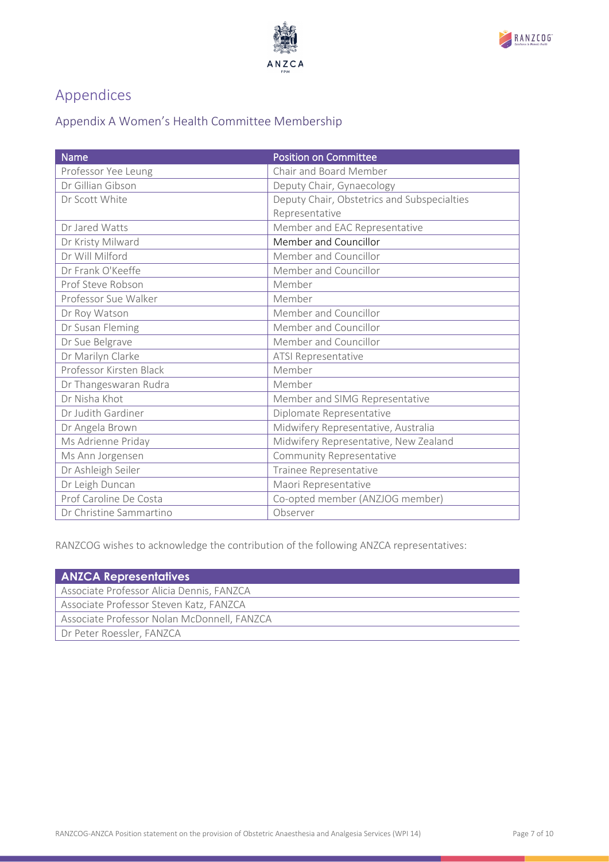



# <span id="page-6-0"></span>Appendices

## <span id="page-6-1"></span>Appendix A Women's Health Committee Membership

| <b>Name</b>             | <b>Position on Committee</b>                |
|-------------------------|---------------------------------------------|
| Professor Yee Leung     | Chair and Board Member                      |
| Dr Gillian Gibson       | Deputy Chair, Gynaecology                   |
| Dr Scott White          | Deputy Chair, Obstetrics and Subspecialties |
|                         | Representative                              |
| Dr Jared Watts          | Member and EAC Representative               |
| Dr Kristy Milward       | Member and Councillor                       |
| Dr Will Milford         | Member and Councillor                       |
| Dr Frank O'Keeffe       | Member and Councillor                       |
| Prof Steve Robson       | Member                                      |
| Professor Sue Walker    | Member                                      |
| Dr Roy Watson           | Member and Councillor                       |
| Dr Susan Fleming        | Member and Councillor                       |
| Dr Sue Belgrave         | Member and Councillor                       |
| Dr Marilyn Clarke       | ATSI Representative                         |
| Professor Kirsten Black | Member                                      |
| Dr Thangeswaran Rudra   | Member                                      |
| Dr Nisha Khot           | Member and SIMG Representative              |
| Dr Judith Gardiner      | Diplomate Representative                    |
| Dr Angela Brown         | Midwifery Representative, Australia         |
| Ms Adrienne Priday      | Midwifery Representative, New Zealand       |
| Ms Ann Jorgensen        | Community Representative                    |
| Dr Ashleigh Seiler      | Trainee Representative                      |
| Dr Leigh Duncan         | Maori Representative                        |
| Prof Caroline De Costa  | Co-opted member (ANZJOG member)             |
| Dr Christine Sammartino | Observer                                    |

RANZCOG wishes to acknowledge the contribution of the following ANZCA representatives:

| <b>ANZCA Representatives</b>                |  |  |  |
|---------------------------------------------|--|--|--|
| Associate Professor Alicia Dennis, FANZCA   |  |  |  |
| Associate Professor Steven Katz, FANZCA     |  |  |  |
| Associate Professor Nolan McDonnell, FANZCA |  |  |  |
| Dr Peter Roessler, FANZCA                   |  |  |  |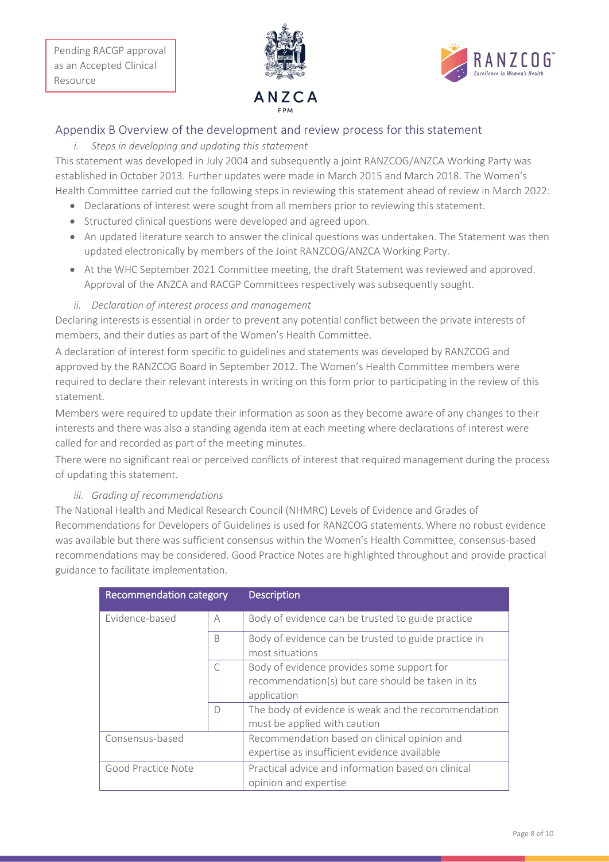



#### <span id="page-7-0"></span>Appendix B Overview of the development and review process for this statement

#### *i. Steps in developing and updating this statement*

This statement was developed in July 2004 and subsequently a joint RANZCOG/ANZCA Working Party was established in October 2013. Further updates were made in March 2015 and March 2018. The Women's Health Committee carried out the following steps in reviewing this statement ahead of review in March 2022:

- Declarations of interest were sought from all members prior to reviewing this statement.
- Structured clinical questions were developed and agreed upon.
- An updated literature search to answer the clinical questions was undertaken. The Statement was then updated electronically by members of the Joint RANZCOG/ANZCA Working Party.
- At the WHC September 2021 Committee meeting, the draft Statement was reviewed and approved. Approval of the ANZCA and RACGP Committees respectively was subsequently sought.
- *ii. Declaration of interest process and management*

Declaring interests is essential in order to prevent any potential conflict between the private interests of members, and their duties as part of the Women's Health Committee.

A declaration of interest form specific to guidelines and statements was developed by RANZCOG and approved by the RANZCOG Board in September 2012. The Women's Health Committee members were required to declare their relevant interests in writing on this form prior to participating in the review of this statement.

Members were required to update their information as soon as they become aware of any changes to their interests and there was also a standing agenda item at each meeting where declarations of interest were called for and recorded as part of the meeting minutes.

There were no significant real or perceived conflicts of interest that required management during the process of updating this statement.

#### *iii. Grading of recommendations*

The National Health and Medical Research Council (NHMRC) Levels of Evidence and Grades of Recommendations for Developers of Guidelines is used for RANZCOG statements.Where no robust evidence was available but there was sufficient consensus within the Women's Health Committee, consensus-based recommendations may be considered. Good Practice Notes are highlighted throughout and provide practical guidance to facilitate implementation.

| Recommendation category |   | <b>Description</b>                                                                                             |
|-------------------------|---|----------------------------------------------------------------------------------------------------------------|
| Evidence-based          | A | Body of evidence can be trusted to guide practice                                                              |
|                         | B | Body of evidence can be trusted to guide practice in<br>most situations                                        |
|                         | C | Body of evidence provides some support for<br>recommendation(s) but care should be taken in its<br>application |
|                         | D | The body of evidence is weak and the recommendation<br>must be applied with caution                            |
| Consensus-based         |   | Recommendation based on clinical opinion and<br>expertise as insufficient evidence available                   |
| Good Practice Note      |   | Practical advice and information based on clinical<br>opinion and expertise                                    |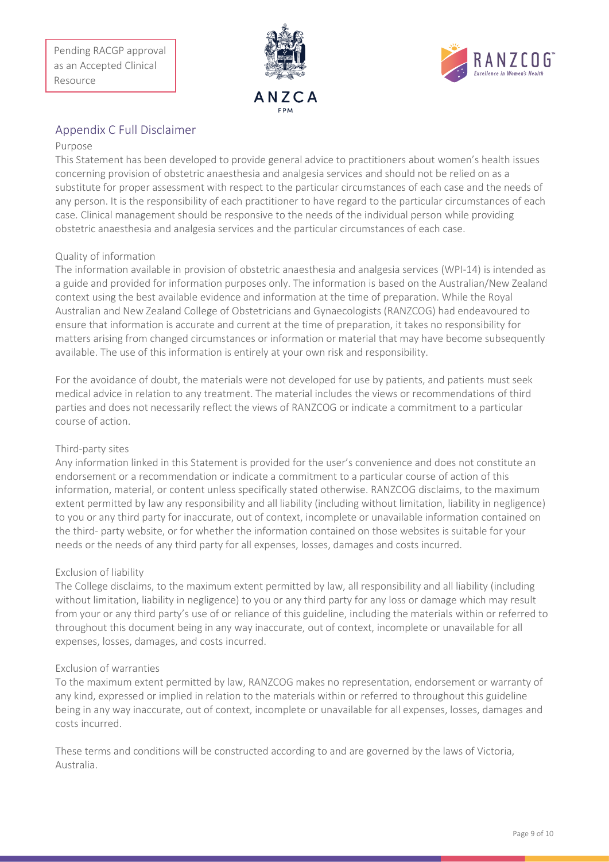



#### <span id="page-8-0"></span>Appendix C Full Disclaimer

#### Purpose

This Statement has been developed to provide general advice to practitioners about women's health issues concerning provision of obstetric anaesthesia and analgesia services and should not be relied on as a substitute for proper assessment with respect to the particular circumstances of each case and the needs of any person. It is the responsibility of each practitioner to have regard to the particular circumstances of each case. Clinical management should be responsive to the needs of the individual person while providing obstetric anaesthesia and analgesia services and the particular circumstances of each case.

#### Quality of information

The information available in provision of obstetric anaesthesia and analgesia services (WPI-14) is intended as a guide and provided for information purposes only. The information is based on the Australian/New Zealand context using the best available evidence and information at the time of preparation. While the Royal Australian and New Zealand College of Obstetricians and Gynaecologists (RANZCOG) had endeavoured to ensure that information is accurate and current at the time of preparation, it takes no responsibility for matters arising from changed circumstances or information or material that may have become subsequently available. The use of this information is entirely at your own risk and responsibility.

For the avoidance of doubt, the materials were not developed for use by patients, and patients must seek medical advice in relation to any treatment. The material includes the views or recommendations of third parties and does not necessarily reflect the views of RANZCOG or indicate a commitment to a particular course of action.

#### Third-party sites

Any information linked in this Statement is provided for the user's convenience and does not constitute an endorsement or a recommendation or indicate a commitment to a particular course of action of this information, material, or content unless specifically stated otherwise. RANZCOG disclaims, to the maximum extent permitted by law any responsibility and all liability (including without limitation, liability in negligence) to you or any third party for inaccurate, out of context, incomplete or unavailable information contained on the third- party website, or for whether the information contained on those websites is suitable for your needs or the needs of any third party for all expenses, losses, damages and costs incurred.

#### Exclusion of liability

The College disclaims, to the maximum extent permitted by law, all responsibility and all liability (including without limitation, liability in negligence) to you or any third party for any loss or damage which may result from your or any third party's use of or reliance of this guideline, including the materials within or referred to throughout this document being in any way inaccurate, out of context, incomplete or unavailable for all expenses, losses, damages, and costs incurred.

#### Exclusion of warranties

To the maximum extent permitted by law, RANZCOG makes no representation, endorsement or warranty of any kind, expressed or implied in relation to the materials within or referred to throughout this guideline being in any way inaccurate, out of context, incomplete or unavailable for all expenses, losses, damages and costs incurred.

These terms and conditions will be constructed according to and are governed by the laws of Victoria, Australia.